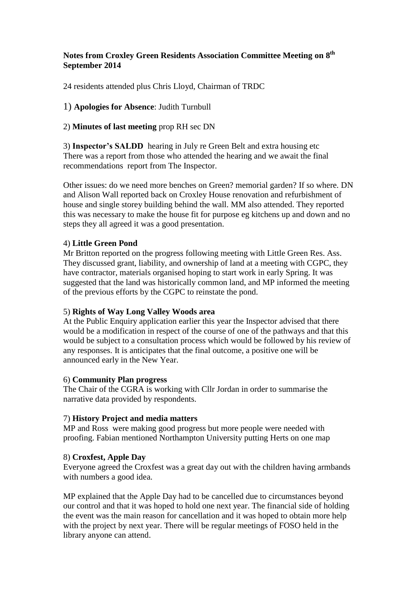# **Notes from Croxley Green Residents Association Committee Meeting on 8 th September 2014**

24 residents attended plus Chris Lloyd, Chairman of TRDC

# 1) **Apologies for Absence**: Judith Turnbull

# 2) **Minutes of last meeting** prop RH sec DN

3) **Inspector's SALDD** hearing in July re Green Belt and extra housing etc There was a report from those who attended the hearing and we await the final recommendations report from The Inspector.

Other issues: do we need more benches on Green? memorial garden? If so where. DN and Alison Wall reported back on Croxley House renovation and refurbishment of house and single storey building behind the wall. MM also attended. They reported this was necessary to make the house fit for purpose eg kitchens up and down and no steps they all agreed it was a good presentation.

### 4) **Little Green Pond**

Mr Britton reported on the progress following meeting with Little Green Res. Ass. They discussed grant, liability, and ownership of land at a meeting with CGPC, they have contractor, materials organised hoping to start work in early Spring. It was suggested that the land was historically common land, and MP informed the meeting of the previous efforts by the CGPC to reinstate the pond.

#### 5) **Rights of Way Long Valley Woods area**

At the Public Enquiry application earlier this year the Inspector advised that there would be a modification in respect of the course of one of the pathways and that this would be subject to a consultation process which would be followed by his review of any responses. It is anticipates that the final outcome, a positive one will be announced early in the New Year.

#### 6) **Community Plan progress**

The Chair of the CGRA is working with Cllr Jordan in order to summarise the narrative data provided by respondents.

#### 7) **History Project and media matters**

MP and Ross were making good progress but more people were needed with proofing. Fabian mentioned Northampton University putting Herts on one map

# 8) **Croxfest, Apple Day**

Everyone agreed the Croxfest was a great day out with the children having armbands with numbers a good idea.

MP explained that the Apple Day had to be cancelled due to circumstances beyond our control and that it was hoped to hold one next year. The financial side of holding the event was the main reason for cancellation and it was hoped to obtain more help with the project by next year. There will be regular meetings of FOSO held in the library anyone can attend.